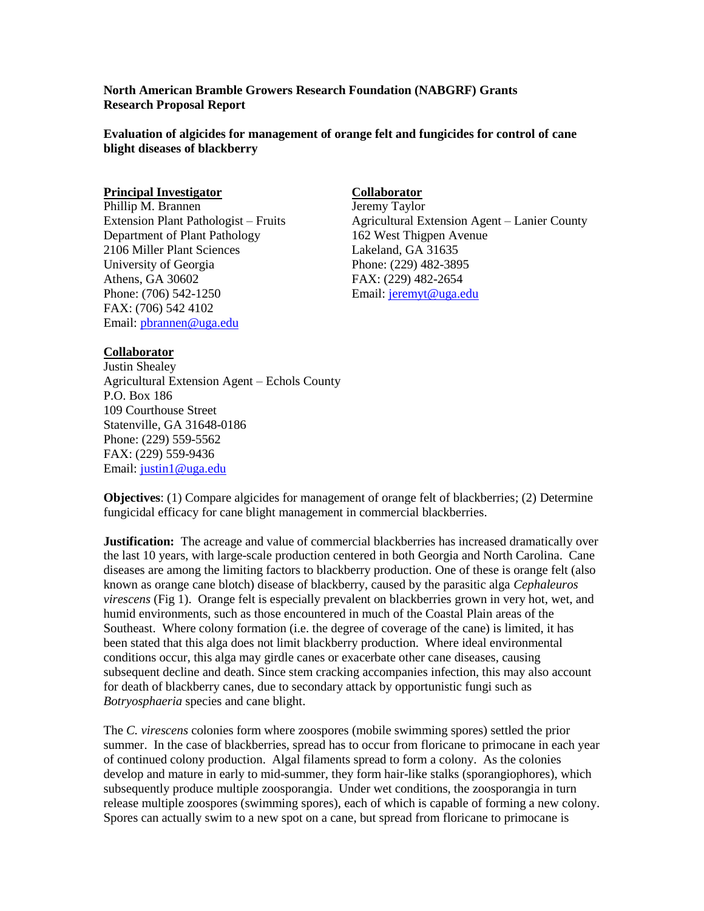**North American Bramble Growers Research Foundation (NABGRF) Grants Research Proposal Report**

**Evaluation of algicides for management of orange felt and fungicides for control of cane blight diseases of blackberry**

### **Principal Investigator** Collaborator

Phillip M. Brannen Jeremy Taylor Department of Plant Pathology 162 West Thigpen Avenue 2106 Miller Plant Sciences Lakeland, GA 31635 University of Georgia Phone: (229) 482-3895 Athens, GA 30602 FAX: (229) 482-2654 Phone: (706) 542-1250 Email: [jeremyt@uga.edu](mailto:jeremyt@uga.edu) FAX: (706) 542 4102 Email: [pbrannen@uga.edu](mailto:pbrannen@uga.edu)

Extension Plant Pathologist – Fruits Agricultural Extension Agent – Lanier County

## **Collaborator**

Justin Shealey Agricultural Extension Agent – Echols County P.O. Box 186 109 Courthouse Street Statenville, GA 31648-0186 Phone: (229) 559-5562 FAX: (229) 559-9436 Email: [justin1@uga.edu](mailto:justin1@uga.edu)

**Objectives**: (1) Compare algicides for management of orange felt of blackberries; (2) Determine fungicidal efficacy for cane blight management in commercial blackberries.

**Justification:** The acreage and value of commercial blackberries has increased dramatically over the last 10 years, with large-scale production centered in both Georgia and North Carolina. Cane diseases are among the limiting factors to blackberry production. One of these is orange felt (also known as orange cane blotch) disease of blackberry, caused by the parasitic alga *Cephaleuros virescens* (Fig 1). Orange felt is especially prevalent on blackberries grown in very hot, wet, and humid environments, such as those encountered in much of the Coastal Plain areas of the Southeast.Where colony formation (i.e. the degree of coverage of the cane) is limited, it has been stated that this alga does not limit blackberry production. Where ideal environmental conditions occur, this alga may girdle canes or exacerbate other cane diseases, causing subsequent decline and death. Since stem cracking accompanies infection, this may also account for death of blackberry canes, due to secondary attack by opportunistic fungi such as *Botryosphaeria* species and cane blight.

The *C. virescens* colonies form where zoospores (mobile swimming spores) settled the prior summer. In the case of blackberries, spread has to occur from floricane to primocane in each year of continued colony production. Algal filaments spread to form a colony. As the colonies develop and mature in early to mid-summer, they form hair-like stalks (sporangiophores), which subsequently produce multiple zoosporangia. Under wet conditions, the zoosporangia in turn release multiple zoospores (swimming spores), each of which is capable of forming a new colony. Spores can actually swim to a new spot on a cane, but spread from floricane to primocane is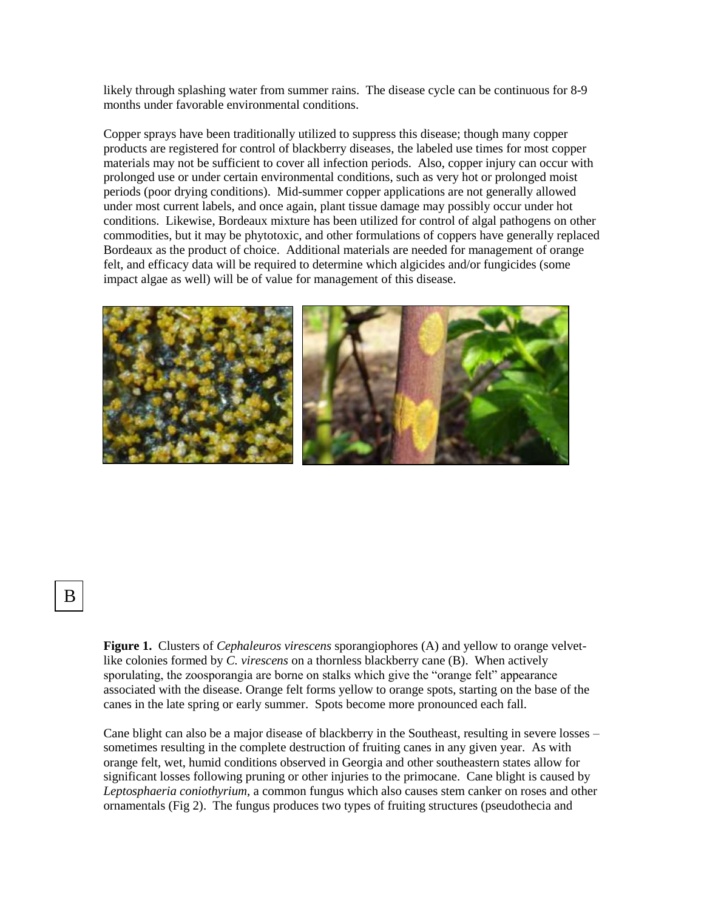likely through splashing water from summer rains. The disease cycle can be continuous for 8-9 months under favorable environmental conditions.

Copper sprays have been traditionally utilized to suppress this disease; though many copper products are registered for control of blackberry diseases, the labeled use times for most copper materials may not be sufficient to cover all infection periods. Also, copper injury can occur with prolonged use or under certain environmental conditions, such as very hot or prolonged moist periods (poor drying conditions). Mid-summer copper applications are not generally allowed under most current labels, and once again, plant tissue damage may possibly occur under hot conditions. Likewise, Bordeaux mixture has been utilized for control of algal pathogens on other commodities, but it may be phytotoxic, and other formulations of coppers have generally replaced Bordeaux as the product of choice. Additional materials are needed for management of orange felt, and efficacy data will be required to determine which algicides and/or fungicides (some impact algae as well) will be of value for management of this disease.



# A B

**Figure 1.** Clusters of *Cephaleuros virescens* sporangiophores (A) and yellow to orange velvetlike colonies formed by *C. virescens* on a thornless blackberry cane (B).When actively sporulating, the zoosporangia are borne on stalks which give the "orange felt" appearance associated with the disease. Orange felt forms yellow to orange spots, starting on the base of the canes in the late spring or early summer. Spots become more pronounced each fall.

Cane blight can also be a major disease of blackberry in the Southeast, resulting in severe losses – sometimes resulting in the complete destruction of fruiting canes in any given year. As with orange felt, wet, humid conditions observed in Georgia and other southeastern states allow for significant losses following pruning or other injuries to the primocane. Cane blight is caused by *Leptosphaeria coniothyrium*, a common fungus which also causes stem canker on roses and other ornamentals (Fig 2). The fungus produces two types of fruiting structures (pseudothecia and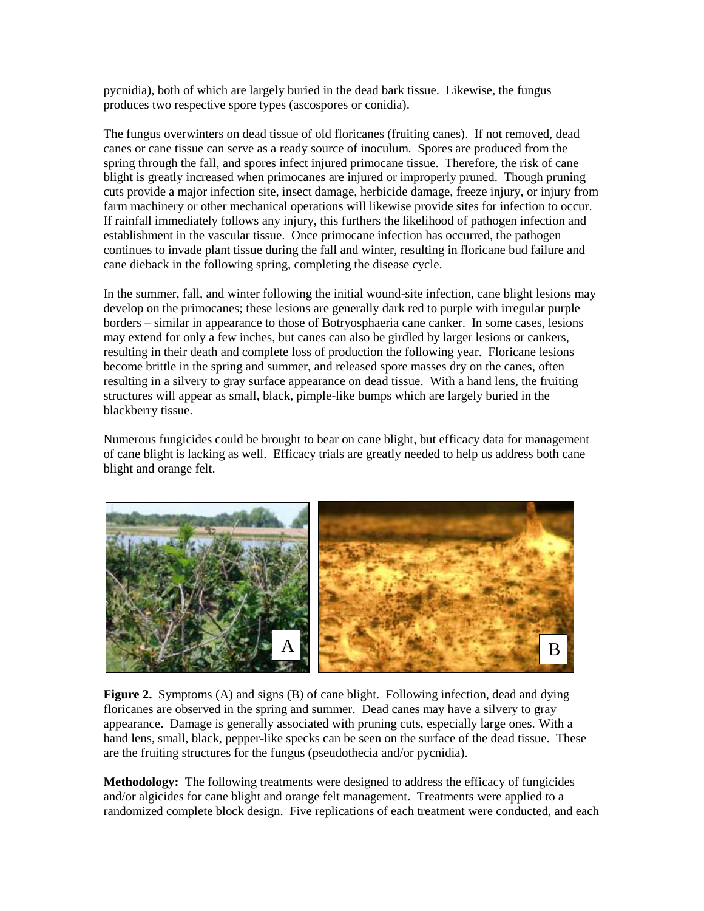pycnidia), both of which are largely buried in the dead bark tissue. Likewise, the fungus produces two respective spore types (ascospores or conidia).

The fungus overwinters on dead tissue of old floricanes (fruiting canes). If not removed, dead canes or cane tissue can serve as a ready source of inoculum. Spores are produced from the spring through the fall, and spores infect injured primocane tissue. Therefore, the risk of cane blight is greatly increased when primocanes are injured or improperly pruned. Though pruning cuts provide a major infection site, insect damage, herbicide damage, freeze injury, or injury from farm machinery or other mechanical operations will likewise provide sites for infection to occur. If rainfall immediately follows any injury, this furthers the likelihood of pathogen infection and establishment in the vascular tissue. Once primocane infection has occurred, the pathogen continues to invade plant tissue during the fall and winter, resulting in floricane bud failure and cane dieback in the following spring, completing the disease cycle.

In the summer, fall, and winter following the initial wound-site infection, cane blight lesions may develop on the primocanes; these lesions are generally dark red to purple with irregular purple borders – similar in appearance to those of Botryosphaeria cane canker. In some cases, lesions may extend for only a few inches, but canes can also be girdled by larger lesions or cankers, resulting in their death and complete loss of production the following year. Floricane lesions become brittle in the spring and summer, and released spore masses dry on the canes, often resulting in a silvery to gray surface appearance on dead tissue. With a hand lens, the fruiting structures will appear as small, black, pimple-like bumps which are largely buried in the blackberry tissue.

Numerous fungicides could be brought to bear on cane blight, but efficacy data for management of cane blight is lacking as well. Efficacy trials are greatly needed to help us address both cane blight and orange felt.



**Figure 2.** Symptoms (A) and signs (B) of cane blight. Following infection, dead and dying floricanes are observed in the spring and summer. Dead canes may have a silvery to gray appearance. Damage is generally associated with pruning cuts, especially large ones. With a hand lens, small, black, pepper-like specks can be seen on the surface of the dead tissue. These are the fruiting structures for the fungus (pseudothecia and/or pycnidia).

**Methodology:** The following treatments were designed to address the efficacy of fungicides and/or algicides for cane blight and orange felt management. Treatments were applied to a randomized complete block design. Five replications of each treatment were conducted, and each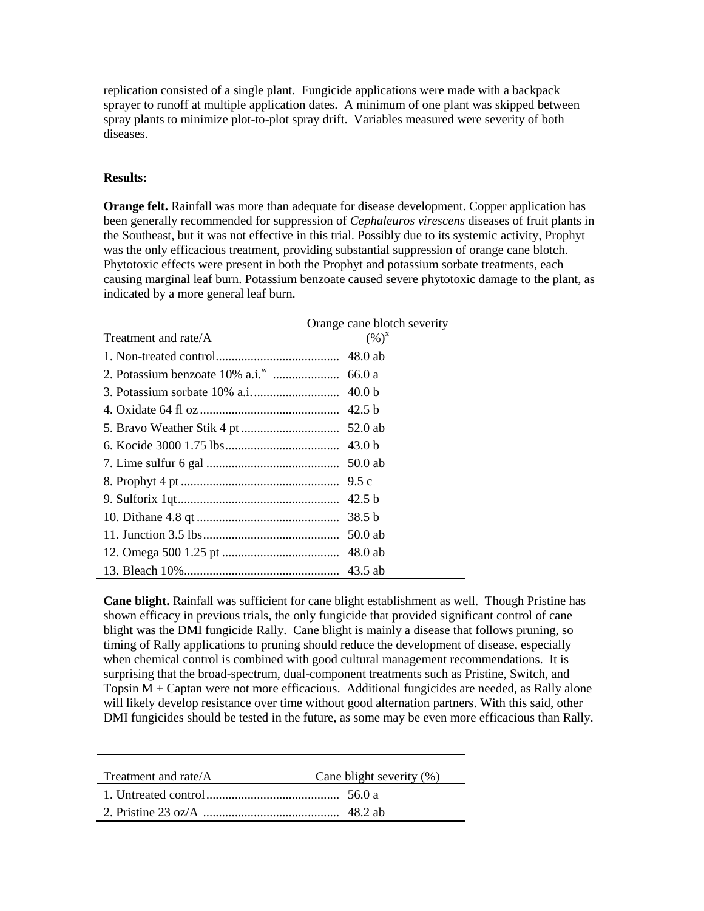replication consisted of a single plant. Fungicide applications were made with a backpack sprayer to runoff at multiple application dates. A minimum of one plant was skipped between spray plants to minimize plot-to-plot spray drift. Variables measured were severity of both diseases.

## **Results:**

**Orange felt.** Rainfall was more than adequate for disease development. Copper application has been generally recommended for suppression of *Cephaleuros virescens* diseases of fruit plants in the Southeast, but it was not effective in this trial. Possibly due to its systemic activity, Prophyt was the only efficacious treatment, providing substantial suppression of orange cane blotch. Phytotoxic effects were present in both the Prophyt and potassium sorbate treatments, each causing marginal leaf burn. Potassium benzoate caused severe phytotoxic damage to the plant, as indicated by a more general leaf burn.

|                      | Orange cane blotch severity |
|----------------------|-----------------------------|
| Treatment and rate/A | $(\%)^x$                    |
|                      |                             |
|                      |                             |
|                      |                             |
|                      | 42.5 <sub>b</sub>           |
|                      |                             |
|                      |                             |
|                      |                             |
|                      |                             |
|                      |                             |
|                      |                             |
|                      | 50.0 ab                     |
|                      | 48.0 ab                     |
|                      | 43.5 ab                     |

**Cane blight.** Rainfall was sufficient for cane blight establishment as well. Though Pristine has shown efficacy in previous trials, the only fungicide that provided significant control of cane blight was the DMI fungicide Rally. Cane blight is mainly a disease that follows pruning, so timing of Rally applications to pruning should reduce the development of disease, especially when chemical control is combined with good cultural management recommendations. It is surprising that the broad-spectrum, dual-component treatments such as Pristine, Switch, and Topsin M + Captan were not more efficacious. Additional fungicides are needed, as Rally alone will likely develop resistance over time without good alternation partners. With this said, other DMI fungicides should be tested in the future, as some may be even more efficacious than Rally.

| Treatment and rate/A | Cane blight severity (%) |
|----------------------|--------------------------|
|                      |                          |
|                      |                          |